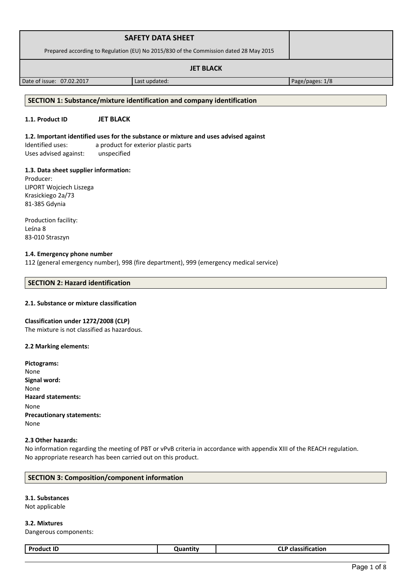| <b>SAFETY DATA SHEET</b>                                                              |  |
|---------------------------------------------------------------------------------------|--|
| Prepared according to Regulation (EU) No 2015/830 of the Commission dated 28 May 2015 |  |
| <b>JET BLACK</b>                                                                      |  |

Date of issue: 07.02.2017 Last updated: Page/pages: 1/8

#### **SECTION 1: Substance/mixture identification and company identification**

# **1.1. Product ID JET BLACK**

**1.2. Important identified uses for the substance or mixture and uses advised against** Identified uses: a product for exterior plastic parts

Uses advised against: unspecified

### **1.3. Data sheet supplier information:**

Producer: LIPORT Wojciech Liszega Krasickiego 2a/73 81-385 Gdynia

Production facility: Leśna 8 83-010 Straszyn

### **1.4. Emergency phone number**

112 (general emergency number), 998 (fire department), 999 (emergency medical service)

### **SECTION 2: Hazard identification**

### **2.1. Substance or mixture classification**

#### **Classification under 1272/2008 (CLP)**

The mixture is not classified as hazardous.

#### **2.2 Marking elements:**

| Pictograms:                      |
|----------------------------------|
| None                             |
| Signal word:                     |
| None                             |
| <b>Hazard statements:</b>        |
| None                             |
| <b>Precautionary statements:</b> |
| None                             |
|                                  |

#### **2.3 Other hazards:**

No information regarding the meeting of PBT or vPvB criteria in accordance with appendix XIII of the REACH regulation. No appropriate research has been carried out on this product.

## **SECTION 3: Composition/component information**

# **3.1. Substances**

Not applicable

**3.2. Mixtures** Dangerous components:

| Dr.<br>- --<br>.<br>∼<br>.<br>$\sim$<br>. |
|-------------------------------------------|
|-------------------------------------------|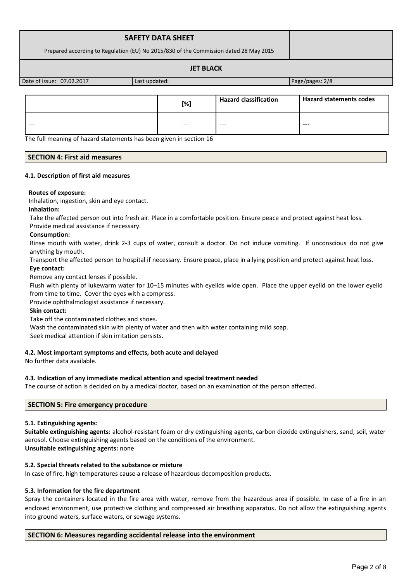| <b>SAFETY DATA SHEET</b>                                                              |               |                 |
|---------------------------------------------------------------------------------------|---------------|-----------------|
| Prepared according to Regulation (EU) No 2015/830 of the Commission dated 28 May 2015 |               |                 |
|                                                                                       |               |                 |
| Date of issue: 07.02.2017                                                             | Last updated: | Page/pages: 2/8 |

|         | [%]   | <b>Hazard classification</b> | <b>Hazard statements codes</b> |
|---------|-------|------------------------------|--------------------------------|
| $- - -$ | $---$ | ---                          | $---$                          |

The full meaning of hazard statements has been given in section 16

# **SECTION 4: First aid measures**

### **4.1. Description of first aid measures**

### **Routes of exposure:**

Inhalation, ingestion, skin and eye contact.

### **Inhalation:**

Take the affected person out into fresh air. Place in a comfortable position. Ensure peace and protect against heat loss.

### Provide medical assistance if necessary.

## **Consumption:**

Rinse mouth with water, drink 2-3 cups of water, consult a doctor. Do not induce vomiting. If unconscious do not give anything by mouth.

Transport the affected person to hospital if necessary. Ensure peace, place in a lying position and protect against heat loss. **Eye contact:**

Remove any contact lenses if possible.

Flush with plenty of lukewarm water for 10–15 minutes with eyelids wide open. Place the upper eyelid on the lower eyelid from time to time. Cover the eyes with a compress.

Provide ophthalmologist assistance if necessary.

# **Skin contact:**

Take off the contaminated clothes and shoes.

Wash the contaminated skin with plenty of water and then with water containing mild soap.

Seek medical attention if skin irritation persists.

# **4.2. Most important symptoms and effects, both acute and delayed**

No further data available.

# **4.3. Indication of any immediate medical attention and special treatment needed**

The course of action is decided on by a medical doctor, based on an examination of the person affected.

# **SECTION 5: Fire emergency procedure**

# **5.1. Extinguishing agents:**

**Suitable extinguishing agents:** alcohol-resistant foam or dry extinguishing agents, carbon dioxide extinguishers, sand, soil, water aerosol. Choose extinguishing agents based on the conditions of the environment.

### **Unsuitable extinguishing agents:** none

# **5.2. Special threats related to the substance or mixture**

In case of fire, high temperatures cause a release of hazardous decomposition products.

# **5.3. Information for the fire department**

Spray the containers located in the fire area with water, remove from the hazardous area if possible. In case of a fire in an enclosed environment, use protective clothing and compressed air breathing apparatus. Do not allow the extinguishing agents into ground waters, surface waters, or sewage systems.

# **SECTION 6: Measures regarding accidental release into the environment**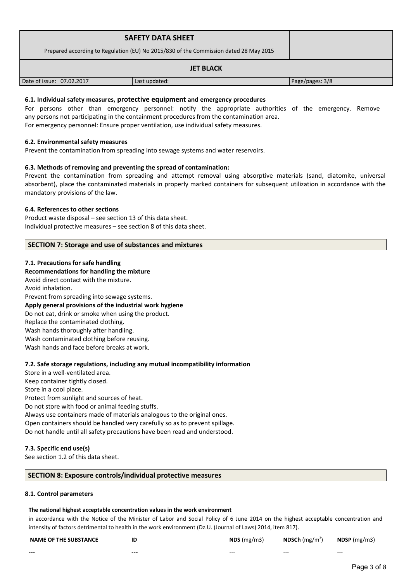| <b>SAFETY DATA SHEET</b>                                                              |               |                 |
|---------------------------------------------------------------------------------------|---------------|-----------------|
| Prepared according to Regulation (EU) No 2015/830 of the Commission dated 28 May 2015 |               |                 |
| <b>JET BLACK</b>                                                                      |               |                 |
| Date of issue: 07.02.2017                                                             | Last updated: | Page/pages: 3/8 |

## **6.1. Individual safety measures, protective equipment and emergency procedures**

For persons other than emergency personnel: notify the appropriate authorities of the emergency. Remove any persons not participating in the containment procedures from the contamination area. For emergency personnel: Ensure proper ventilation, use individual safety measures.

#### **6.2. Environmental safety measures**

Prevent the contamination from spreading into sewage systems and water reservoirs.

### **6.3. Methods of removing and preventing the spread of contamination:**

Prevent the contamination from spreading and attempt removal using absorptive materials (sand, diatomite, universal absorbent), place the contaminated materials in properly marked containers for subsequent utilization in accordance with the mandatory provisions of the law.

#### **6.4. References to other sections**

Product waste disposal – see section 13 of this data sheet. Individual protective measures – see section 8 of this data sheet.

### **SECTION 7: Storage and use of substances and mixtures**

#### **7.1. Precautions for safe handling**

#### **Recommendations for handling the mixture**

Avoid direct contact with the mixture. Avoid inhalation. Prevent from spreading into sewage systems. **Apply general provisions of the industrial work hygiene**  Do not eat, drink or smoke when using the product. Replace the contaminated clothing. Wash hands thoroughly after handling. Wash contaminated clothing before reusing. Wash hands and face before breaks at work.

### **7.2. Safe storage regulations, including any mutual incompatibility information**

Store in a well-ventilated area. Keep container tightly closed. Store in a cool place. Protect from sunlight and sources of heat. Do not store with food or animal feeding stuffs. Always use containers made of materials analogous to the original ones. Open containers should be handled very carefully so as to prevent spillage. Do not handle until all safety precautions have been read and understood.

### **7.3. Specific end use(s)**

See section 1.2 of this data sheet.

### **SECTION 8: Exposure controls/individual protective measures**

#### **8.1. Control parameters**

### **The national highest acceptable concentration values in the work environment**

in accordance with the Notice of the Minister of Labor and Social Policy of 6 June 2014 on the highest acceptable concentration and intensity of factors detrimental to health in the work environment (Dz.U. (Journal of Laws) 2014, item 817).

| <b>NAME OF THE SUBSTANCE</b> | ΙC      | NDS(mg/m3) | <b>NDSCh</b> $(mg/m^3)$ | $NDSP$ (mg/m3) |
|------------------------------|---------|------------|-------------------------|----------------|
| ---                          | $- - -$ | $- - -$    | $- - -$                 | $- - -$        |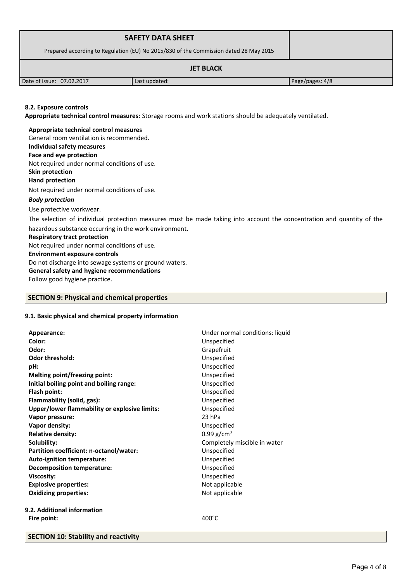| <b>SAFETY DATA SHEET</b>                                                              |               |                 |  |
|---------------------------------------------------------------------------------------|---------------|-----------------|--|
| Prepared according to Regulation (EU) No 2015/830 of the Commission dated 28 May 2015 |               |                 |  |
| <b>JET BLACK</b>                                                                      |               |                 |  |
| Date of issue: 07.02.2017                                                             | Last updated: | Page/pages: 4/8 |  |
|                                                                                       |               |                 |  |

### **8.2. Exposure controls**

**Appropriate technical control measures:** Storage rooms and work stations should be adequately ventilated.

**Appropriate technical control measures** General room ventilation is recommended. **Individual safety measures Face and eye protection** Not required under normal conditions of use. **Skin protection Hand protection** Not required under normal conditions of use. *Body protection* Use protective workwear.

The selection of individual protection measures must be made taking into account the concentration and quantity of the hazardous substance occurring in the work environment.

#### **Respiratory tract protection**

Not required under normal conditions of use.

### **Environment exposure controls**

Do not discharge into sewage systems or ground waters.

**General safety and hygiene recommendations**

Follow good hygiene practice.

### **SECTION 9: Physical and chemical properties**

### **9.1. Basic physical and chemical property information**

| Appearance:                                   | Under normal conditions: liquid |
|-----------------------------------------------|---------------------------------|
| Color:                                        | Unspecified                     |
| Odor:                                         | Grapefruit                      |
| <b>Odor threshold:</b>                        | Unspecified                     |
| pH:                                           | Unspecified                     |
| Melting point/freezing point:                 | Unspecified                     |
| Initial boiling point and boiling range:      | Unspecified                     |
| Flash point:                                  | Unspecified                     |
| Flammability (solid, gas):                    | Unspecified                     |
| Upper/lower flammability or explosive limits: | Unspecified                     |
| Vapor pressure:                               | 23 hPa                          |
| Vapor density:                                | Unspecified                     |
| <b>Relative density:</b>                      | 0.99 $g/cm^{3}$                 |
| Solubility:                                   | Completely miscible in water    |
| Partition coefficient: n-octanol/water:       | Unspecified                     |
| <b>Auto-ignition temperature:</b>             | Unspecified                     |
| <b>Decomposition temperature:</b>             | Unspecified                     |
| <b>Viscosity:</b>                             | Unspecified                     |
| <b>Explosive properties:</b>                  | Not applicable                  |
| <b>Oxidizing properties:</b>                  | Not applicable                  |
| 9.2. Additional information                   |                                 |
| Fire point:                                   | $400^{\circ}$ C                 |

**SECTION 10: Stability and reactivity**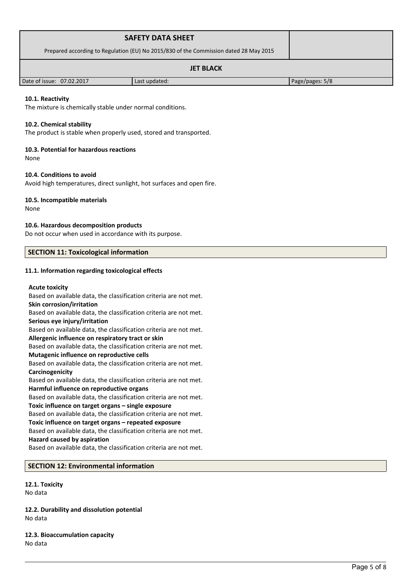| <b>SAFETY DATA SHEET</b>                                                              |               |                 |
|---------------------------------------------------------------------------------------|---------------|-----------------|
| Prepared according to Regulation (EU) No 2015/830 of the Commission dated 28 May 2015 |               |                 |
| <b>JET BLACK</b>                                                                      |               |                 |
| Date of issue: 07.02.2017                                                             | Last updated: | Page/pages: 5/8 |

### **10.1. Reactivity**

The mixture is chemically stable under normal conditions.

#### **10.2. Chemical stability**

The product is stable when properly used, stored and transported.

#### **10.3. Potential for hazardous reactions**

None

#### **10.4. Conditions to avoid**

Avoid high temperatures, direct sunlight, hot surfaces and open fire.

#### **10.5. Incompatible materials**

None

#### **10.6. Hazardous decomposition products**

Do not occur when used in accordance with its purpose.

### **SECTION 11: Toxicological information**

#### **11.1. Information regarding toxicological effects**

#### **Acute toxicity**

Based on available data, the classification criteria are not met. **Skin corrosion/irritation** Based on available data, the classification criteria are not met. **Serious eye injury/irritation** Based on available data, the classification criteria are not met. **Allergenic influence on respiratory tract or skin** Based on available data, the classification criteria are not met. **Mutagenic influence on reproductive cells** Based on available data, the classification criteria are not met. **Carcinogenicity** Based on available data, the classification criteria are not met. **Harmful influence on reproductive organs** Based on available data, the classification criteria are not met. **Toxic influence on target organs – single exposure** Based on available data, the classification criteria are not met. **Toxic influence on target organs – repeated exposure** Based on available data, the classification criteria are not met. **Hazard caused by aspiration** Based on available data, the classification criteria are not met.

# **SECTION 12: Environmental information**

**12.1. Toxicity** No data

**12.2. Durability and dissolution potential** No data

**12.3. Bioaccumulation capacity** No data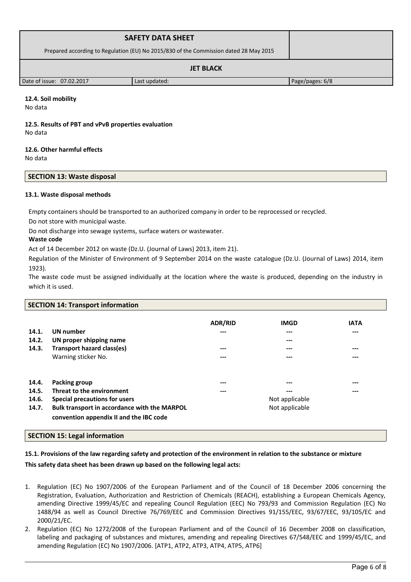| <b>SAFETY DATA SHEET</b>                                                              |               |                 |
|---------------------------------------------------------------------------------------|---------------|-----------------|
| Prepared according to Regulation (EU) No 2015/830 of the Commission dated 28 May 2015 |               |                 |
| <b>JET BLACK</b>                                                                      |               |                 |
| Date of issue: 07.02.2017                                                             | Last updated: | Page/pages: 6/8 |

## **12.4. Soil mobility**

No data

# **12.5. Results of PBT and vPvB properties evaluation** No data

## **12.6. Other harmful effects**

No data

## **SECTION 13: Waste disposal**

## **13.1. Waste disposal methods**

Empty containers should be transported to an authorized company in order to be reprocessed or recycled.

Do not store with municipal waste.

Do not discharge into sewage systems, surface waters or wastewater.

### **Waste code**

Act of 14 December 2012 on waste (Dz.U. (Journal of Laws) 2013, item 21).

Regulation of the Minister of Environment of 9 September 2014 on the waste catalogue (Dz.U. (Journal of Laws) 2014, item 1923).

The waste code must be assigned individually at the location where the waste is produced, depending on the industry in which it is used.

# **SECTION 14: Transport information**

| 14.1.<br>14.2.<br>14.3.          | <b>UN</b> number<br>UN proper shipping name<br><b>Transport hazard class(es)</b><br>Warning sticker No.                                                                | <b>ADR/RID</b><br>$---$<br>$---$<br>$---$ | <b>IMGD</b><br>$---$<br>$---$<br>$---$<br>$---$  | <b>IATA</b><br>---<br>---<br>--- |
|----------------------------------|------------------------------------------------------------------------------------------------------------------------------------------------------------------------|-------------------------------------------|--------------------------------------------------|----------------------------------|
| 14.4.<br>14.5.<br>14.6.<br>14.7. | Packing group<br>Threat to the environment<br>Special precautions for users<br>Bulk transport in accordance with the MARPOL<br>convention appendix II and the IBC code | $---$<br>$---$                            | ---<br>$---$<br>Not applicable<br>Not applicable | ---<br>---                       |

# **SECTION 15: Legal information**

# **15.1. Provisions of the law regarding safety and protection of the environment in relation to the substance or mixture**

# **This safety data sheet has been drawn up based on the following legal acts:**

- 1. Regulation (EC) No 1907/2006 of the European Parliament and of the Council of 18 December 2006 concerning the Registration, Evaluation, Authorization and Restriction of Chemicals (REACH), establishing a European Chemicals Agency, amending Directive 1999/45/EC and repealing Council Regulation (EEC) No 793/93 and Commission Regulation (EC) No 1488/94 as well as Council Directive 76/769/EEC and Commission Directives 91/155/EEC, 93/67/EEC, 93/105/EC and 2000/21/EC.
- 2. Regulation (EC) No 1272/2008 of the European Parliament and of the Council of 16 December 2008 on classification, labeling and packaging of substances and mixtures, amending and repealing Directives 67/548/EEC and 1999/45/EC, and amending Regulation (EC) No 1907/2006. [ATP1, ATP2, ATP3, ATP4, ATP5, ATP6]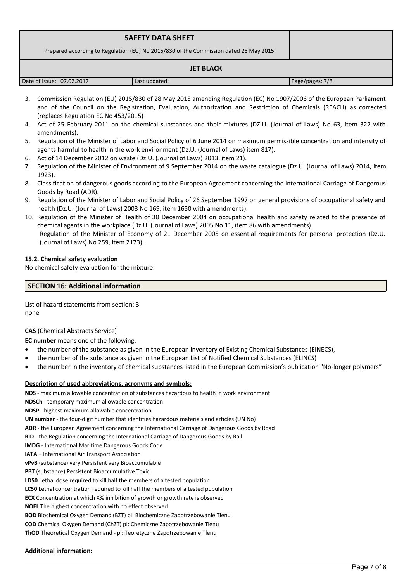| <b>SAFETY DATA SHEET</b><br>Prepared according to Regulation (EU) No 2015/830 of the Commission dated 28 May 2015 |               |                 |  |
|-------------------------------------------------------------------------------------------------------------------|---------------|-----------------|--|
| <b>JET BLACK</b>                                                                                                  |               |                 |  |
| Date of issue: 07.02.2017                                                                                         | Last updated: | Page/pages: 7/8 |  |

- 3. Commission Regulation (EU) 2015/830 of 28 May 2015 amending Regulation (EC) No 1907/2006 of the European Parliament and of the Council on the Registration, Evaluation, Authorization and Restriction of Chemicals (REACH) as corrected (replaces Regulation EC No 453/2015)
- 4. Act of 25 February 2011 on the chemical substances and their mixtures (DZ.U. (Journal of Laws) No 63, item 322 with amendments).
- 5. Regulation of the Minister of Labor and Social Policy of 6 June 2014 on maximum permissible concentration and intensity of agents harmful to health in the work environment (Dz.U. (Journal of Laws) item 817).
- 6. Act of 14 December 2012 on waste (Dz.U. (Journal of Laws) 2013, item 21).
- 7. Regulation of the Minister of Environment of 9 September 2014 on the waste catalogue (Dz.U. (Journal of Laws) 2014, item 1923).
- 8. Classification of dangerous goods according to the European Agreement concerning the International Carriage of Dangerous Goods by Road (ADR).
- 9. Regulation of the Minister of Labor and Social Policy of 26 September 1997 on general provisions of occupational safety and health (Dz.U. (Journal of Laws) 2003 No 169, item 1650 with amendments).
- 10. Regulation of the Minister of Health of 30 December 2004 on occupational health and safety related to the presence of chemical agents in the workplace (Dz.U. (Journal of Laws) 2005 No 11, item 86 with amendments). Regulation of the Minister of Economy of 21 December 2005 on essential requirements for personal protection (Dz.U. (Journal of Laws) No 259, item 2173).

## **15.2. Chemical safety evaluation**

No chemical safety evaluation for the mixture.

## **SECTION 16: Additional information**

List of hazard statements from section: 3 none

# **CAS** (Chemical Abstracts Service)

**EC number** means one of the following:

- the number of the substance as given in the European Inventory of Existing Chemical Substances (EINECS),
- the number of the substance as given in the European List of Notified Chemical Substances (ELINCS)
- the number in the inventory of chemical substances listed in the European Commission's publication "No-longer polymers"

### **Description of used abbreviations, acronyms and symbols:**

**NDS** - maximum allowable concentration of substances hazardous to health in work environment

**NDSCh** - temporary maximum allowable concentration

**NDSP** - highest maximum allowable concentration

**UN number** - the four-digit number that identifies hazardous materials and articles (UN No)

**ADR** - the European Agreement concerning the International Carriage of Dangerous Goods by Road

**RID** - the Regulation concerning the International Carriage of Dangerous Goods by Rail

**IMDG** - International Maritime Dangerous Goods Code

**IATA** – International Air Transport Association

**vPvB** (substance) very Persistent very Bioaccumulable

**PBT** (substance) Persistent Bioaccumulative Toxic

**LD50** Lethal dose required to kill half the members of a tested population

**LC50** Lethal concentration required to kill half the members of a tested population

**ECX** Concentration at which X% inhibition of growth or growth rate is observed

**NOEL** The highest concentration with no effect observed

**BOD** Biochemical Oxygen Demand (BZT) pl: Biochemiczne Zapotrzebowanie Tlenu

**COD** Chemical Oxygen Demand (ChZT) pl: Chemiczne Zapotrzebowanie Tlenu

**ThOD** Theoretical Oxygen Demand - pl: Teoretyczne Zapotrzebowanie Tlenu

### **Additional information:**